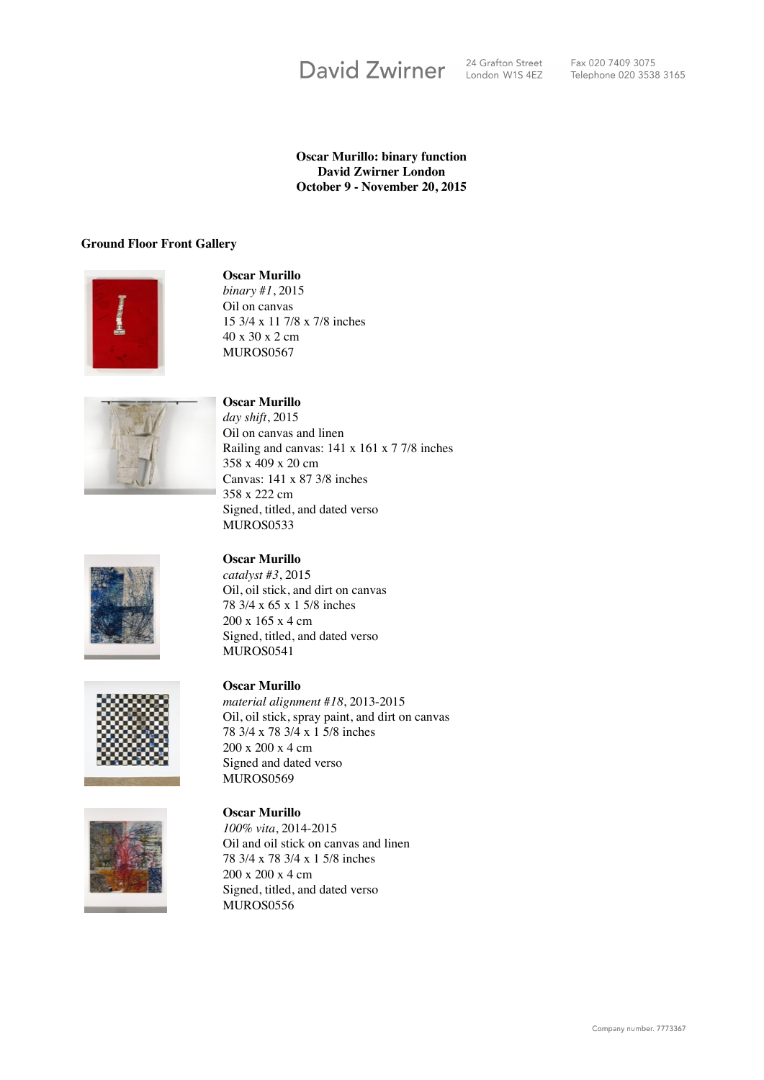

Fax 020 7409 3075 Telephone 020 3538 3165

## **Oscar Murillo: binary function David Zwirner London October 9 - November 20, 2015**

## **Ground Floor Front Gallery**



**Oscar Murillo** *binary #1*, 2015 Oil on canvas 15 3/4 x 11 7/8 x 7/8 inches 40 x 30 x 2 cm



## **Oscar Murillo**

MUROS0567

*day shift*, 2015 Oil on canvas and linen Railing and canvas: 141 x 161 x 7 7/8 inches 358 x 409 x 20 cm Canvas: 141 x 87 3/8 inches 358 x 222 cm Signed, titled, and dated verso MUROS0533



# **Oscar Murillo**

*catalyst #3*, 2015 Oil, oil stick, and dirt on canvas 78 3/4 x 65 x 1 5/8 inches 200 x 165 x 4 cm Signed, titled, and dated verso MUROS0541



# **Oscar Murillo**

*material alignment #18*, 2013-2015 Oil, oil stick, spray paint, and dirt on canvas 78 3/4 x 78 3/4 x 1 5/8 inches 200 x 200 x 4 cm Signed and dated verso MUROS0569



**Oscar Murillo** *100% vita*, 2014-2015 Oil and oil stick on canvas and linen 78 3/4 x 78 3/4 x 1 5/8 inches 200 x 200 x 4 cm Signed, titled, and dated verso MUROS0556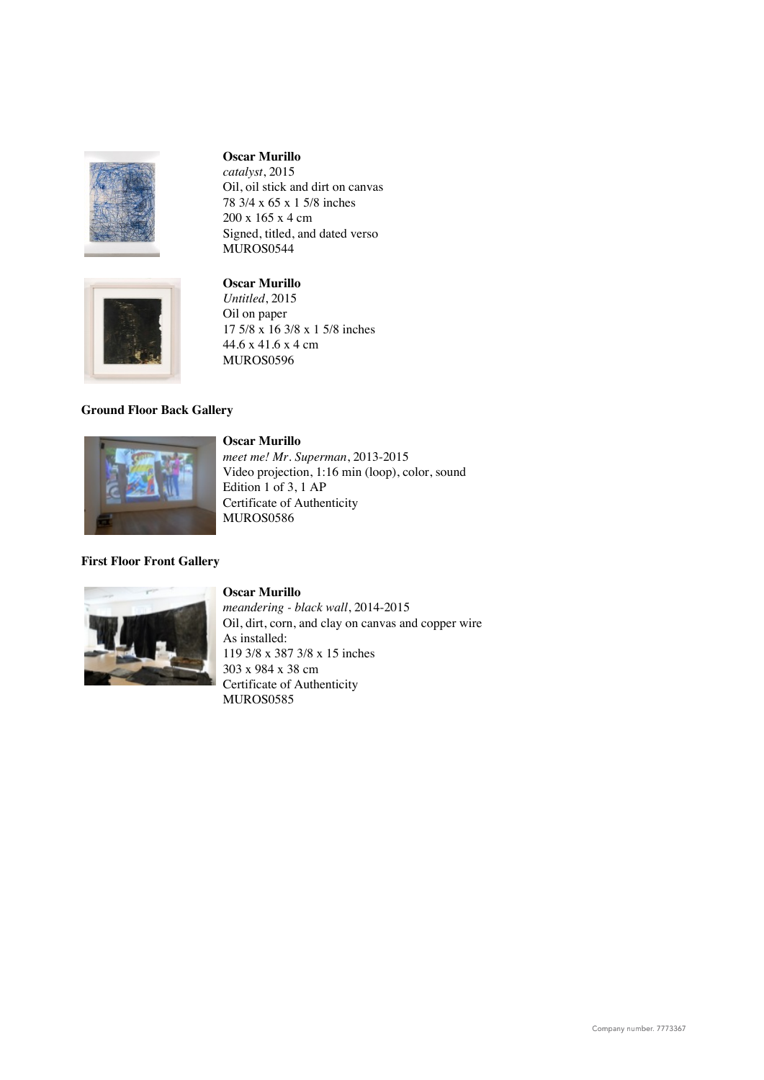

*catalyst*, 2015 Oil, oil stick and dirt on canvas 78 3/4 x 65 x 1 5/8 inches 200 x 165 x 4 cm Signed, titled, and dated verso MUROS0544



# **Oscar Murillo** *Untitled*, 2015 Oil on paper 17 5/8 x 16 3/8 x 1 5/8 inches 44.6 x 41.6 x 4 cm

MUROS0596

# **Ground Floor Back Gallery**



# **First Floor Front Gallery**



## **Oscar Murillo**

*meandering - black wall*, 2014-2015 Oil, dirt, corn, and clay on canvas and copper wire As installed: 119 3/8 x 387 3/8 x 15 inches 303 x 984 x 38 cm Certificate of Authenticity MUROS0585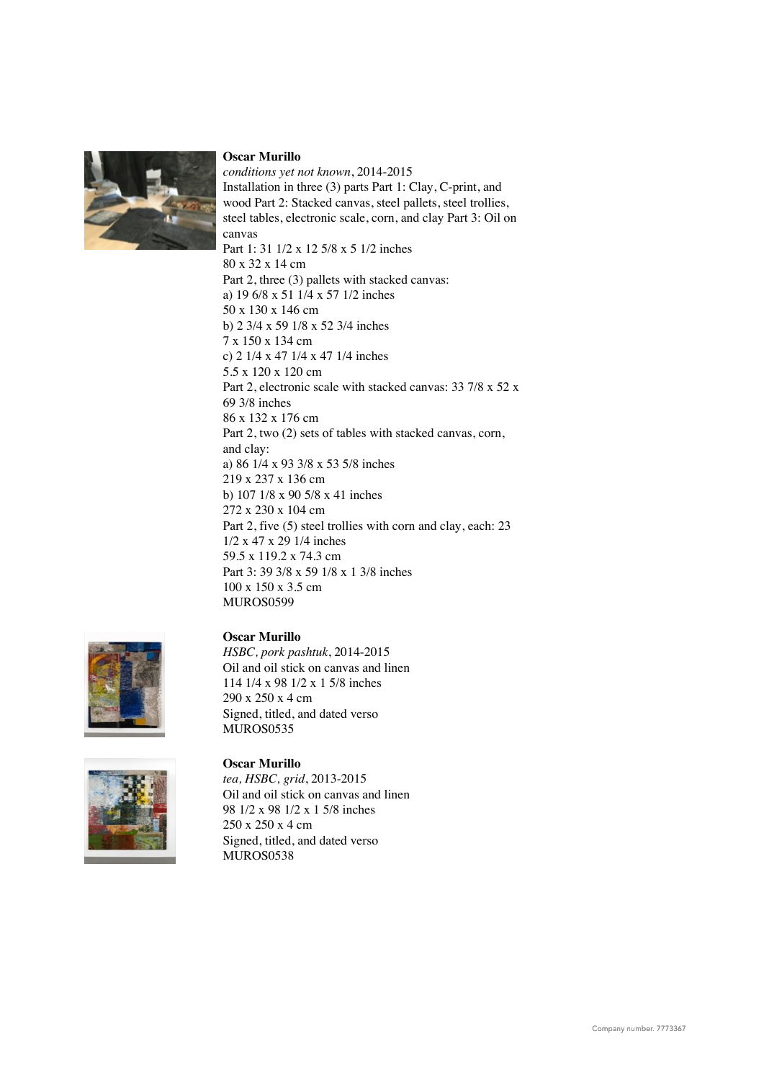

*conditions yet not known*, 2014-2015 Installation in three (3) parts Part 1: Clay, C-print, and wood Part 2: Stacked canvas, steel pallets, steel trollies, steel tables, electronic scale, corn, and clay Part 3: Oil on canvas Part 1: 31 1/2 x 12 5/8 x 5 1/2 inches 80 x 32 x 14 cm Part 2, three (3) pallets with stacked canvas: a) 19 6/8 x 51 1/4 x 57 1/2 inches 50 x 130 x 146 cm b) 2 3/4 x 59 1/8 x 52 3/4 inches 7 x 150 x 134 cm c) 2 1/4 x 47 1/4 x 47 1/4 inches 5.5 x 120 x 120 cm Part 2, electronic scale with stacked canvas: 33 7/8 x 52 x 69 3/8 inches 86 x 132 x 176 cm Part 2, two (2) sets of tables with stacked canvas, corn, and clay: a) 86 1/4 x 93 3/8 x 53 5/8 inches 219 x 237 x 136 cm b) 107 1/8 x 90 5/8 x 41 inches 272 x 230 x 104 cm Part 2, five (5) steel trollies with corn and clay, each: 23 1/2 x 47 x 29 1/4 inches 59.5 x 119.2 x 74.3 cm Part 3: 39 3/8 x 59 1/8 x 1 3/8 inches 100 x 150 x 3.5 cm MUROS0599



*HSBC, pork pashtuk*, 2014-2015 Oil and oil stick on canvas and linen 114 1/4 x 98 1/2 x 1 5/8 inches 290 x 250 x 4 cm Signed, titled, and dated verso MUROS0535





## **Oscar Murillo**

*tea, HSBC, grid*, 2013-2015 Oil and oil stick on canvas and linen 98 1/2 x 98 1/2 x 1 5/8 inches 250 x 250 x 4 cm Signed, titled, and dated verso MUROS0538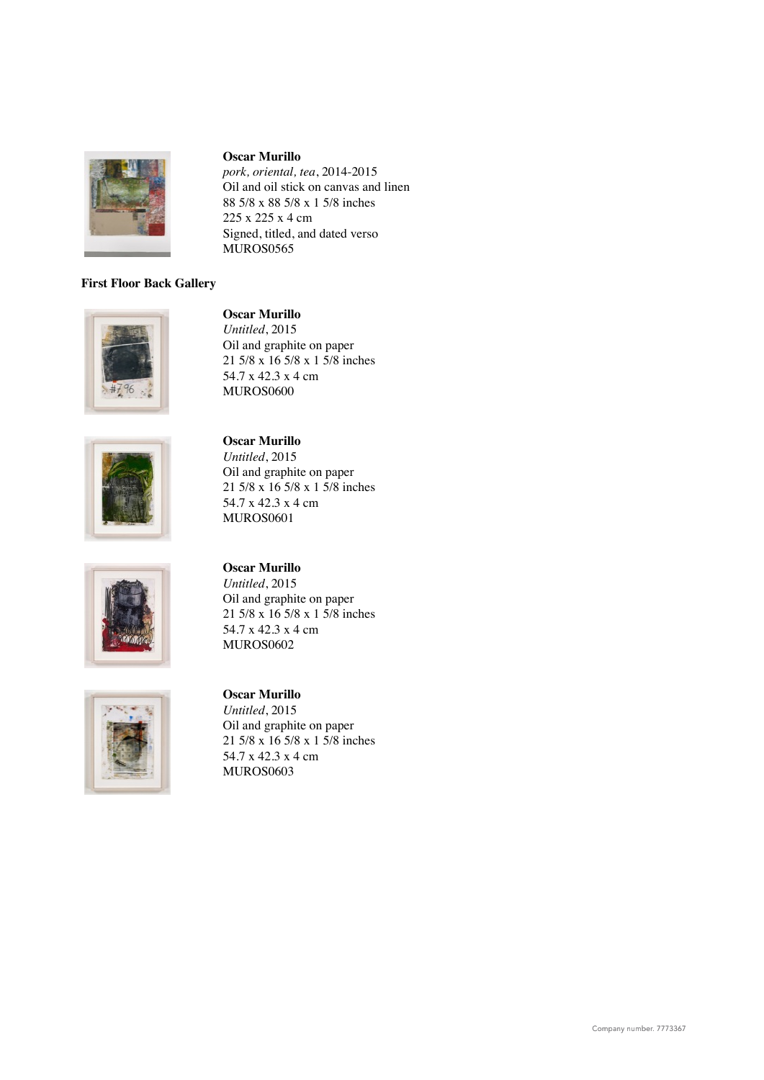

*pork, oriental, tea*, 2014-2015 Oil and oil stick on canvas and linen 88 5/8 x 88 5/8 x 1 5/8 inches 225 x 225 x 4 cm Signed, titled, and dated verso MUROS0565

# **First Floor Back Gallery**



## **Oscar Murillo**

*Untitled*, 2015 Oil and graphite on paper 21 5/8 x 16 5/8 x 1 5/8 inches 54.7 x 42.3 x 4 cm MUROS0600



# **Oscar Murillo** *Untitled*, 2015 Oil and graphite on paper 21 5/8 x 16 5/8 x 1 5/8 inches 54.7 x 42.3 x 4 cm





# **Oscar Murillo**

MUROS0601

*Untitled*, 2015 Oil and graphite on paper 21 5/8 x 16 5/8 x 1 5/8 inches 54.7 x 42.3 x 4 cm MUROS0602

# **Oscar Murillo**

*Untitled*, 2015 Oil and graphite on paper 21 5/8 x 16 5/8 x 1 5/8 inches 54.7 x 42.3 x 4 cm MUROS0603